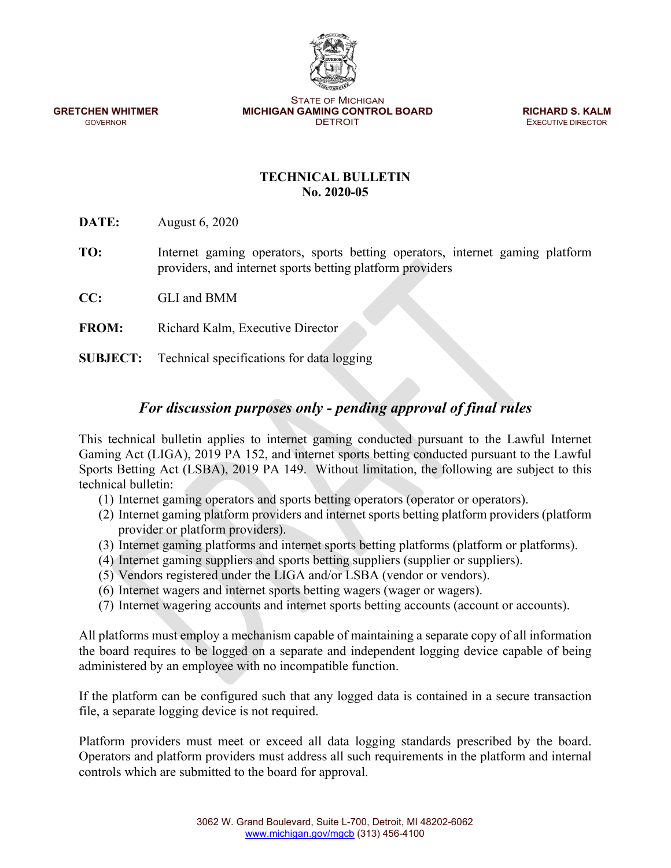STATE OF MICHIGAN **GRETCHEN WHITMER MICHIGAN GAMING CONTROL BOARD <b>RICHARD S. KALM GOVERNOR GOVERNOR CONTROL BOARD EXECUTIVE DIRECTOR** 

**EXECUTIVE DIRECTOR** 

## **TECHNICAL BULLETIN No. 2020-05**

**DATE:** August 6, 2020

- **TO:** Internet gaming operators, sports betting operators, internet gaming platform providers, and internet sports betting platform providers
- **CC:** GLI and BMM
- **FROM:** Richard Kalm, Executive Director
- **SUBJECT:** Technical specifications for data logging

## *For discussion purposes only - pending approval of final rules*

This technical bulletin applies to internet gaming conducted pursuant to the Lawful Internet Gaming Act (LIGA), 2019 PA 152, and internet sports betting conducted pursuant to the Lawful Sports Betting Act (LSBA), 2019 PA 149. Without limitation, the following are subject to this technical bulletin:

- (1) Internet gaming operators and sports betting operators (operator or operators).
- (2) Internet gaming platform providers and internet sports betting platform providers (platform provider or platform providers).
- (3) Internet gaming platforms and internet sports betting platforms (platform or platforms).
- (4) Internet gaming suppliers and sports betting suppliers (supplier or suppliers).
- (5) Vendors registered under the LIGA and/or LSBA (vendor or vendors).
- (6) Internet wagers and internet sports betting wagers (wager or wagers).
- (7) Internet wagering accounts and internet sports betting accounts (account or accounts).

All platforms must employ a mechanism capable of maintaining a separate copy of all information the board requires to be logged on a separate and independent logging device capable of being administered by an employee with no incompatible function.

If the platform can be configured such that any logged data is contained in a secure transaction file, a separate logging device is not required.

Platform providers must meet or exceed all data logging standards prescribed by the board. Operators and platform providers must address all such requirements in the platform and internal controls which are submitted to the board for approval.

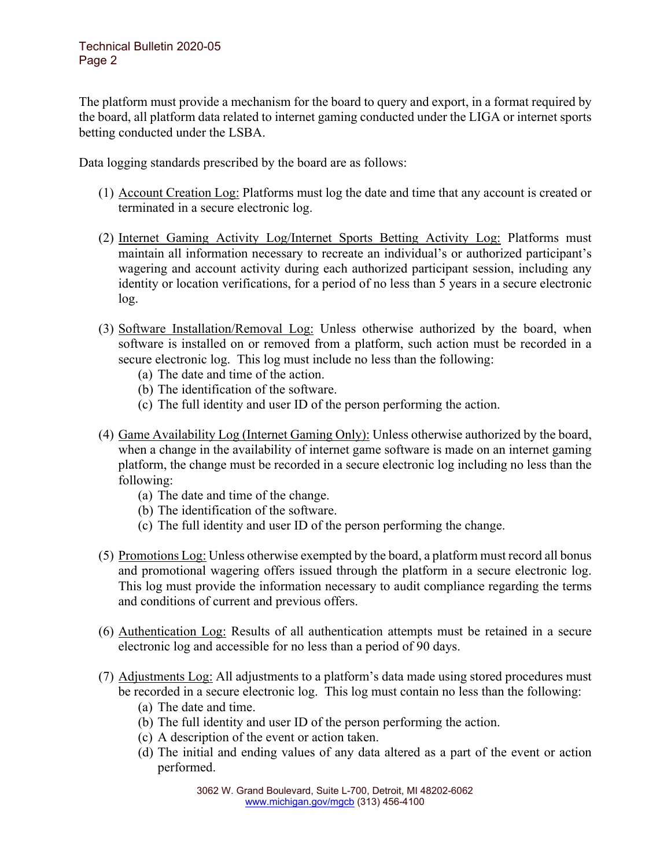## Technical Bulletin 2020-05 Page 2

The platform must provide a mechanism for the board to query and export, in a format required by the board, all platform data related to internet gaming conducted under the LIGA or internet sports betting conducted under the LSBA.

Data logging standards prescribed by the board are as follows:

- (1) Account Creation Log: Platforms must log the date and time that any account is created or terminated in a secure electronic log.
- (2) Internet Gaming Activity Log/Internet Sports Betting Activity Log: Platforms must maintain all information necessary to recreate an individual's or authorized participant's wagering and account activity during each authorized participant session, including any identity or location verifications, for a period of no less than 5 years in a secure electronic log.
- (3) Software Installation/Removal Log: Unless otherwise authorized by the board, when software is installed on or removed from a platform, such action must be recorded in a secure electronic log. This log must include no less than the following:
	- (a) The date and time of the action.
	- (b) The identification of the software.
	- (c) The full identity and user ID of the person performing the action.
- (4) Game Availability Log (Internet Gaming Only): Unless otherwise authorized by the board, when a change in the availability of internet game software is made on an internet gaming platform, the change must be recorded in a secure electronic log including no less than the following:
	- (a) The date and time of the change.
	- (b) The identification of the software.
	- (c) The full identity and user ID of the person performing the change.
- (5) Promotions Log: Unless otherwise exempted by the board, a platform must record all bonus and promotional wagering offers issued through the platform in a secure electronic log. This log must provide the information necessary to audit compliance regarding the terms and conditions of current and previous offers.
- (6) Authentication Log: Results of all authentication attempts must be retained in a secure electronic log and accessible for no less than a period of 90 days.
- (7) Adjustments Log: All adjustments to a platform's data made using stored procedures must be recorded in a secure electronic log. This log must contain no less than the following:
	- (a) The date and time.
	- (b) The full identity and user ID of the person performing the action.
	- (c) A description of the event or action taken.
	- (d) The initial and ending values of any data altered as a part of the event or action performed.